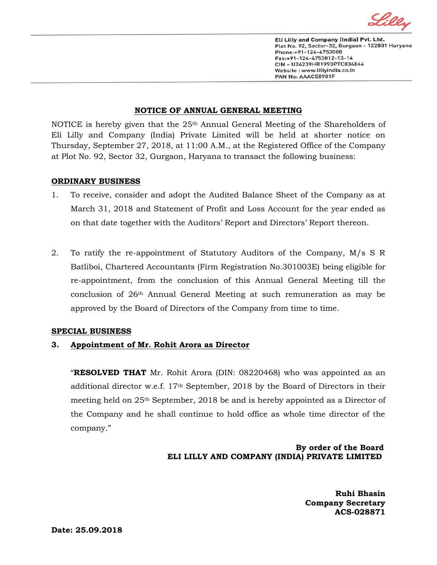

Eli Lilly and Company (India) Pvt. Ltd. Plot No. 92, Sector-32, Gurgaon - 122001 Haryana Phone:+91-124-4753000 Fax:+91-124-4753012-13-14 CIN - U24239HR1993PTC034844 Website: www.lillyindia.co.in PAN No: AAACE8901F

### **NOTICE OF ANNUAL GENERAL MEETING**

NOTICE is hereby given that the 25<sup>th</sup> Annual General Meeting of the Shareholders of Eli Lilly and Company (India) Private Limited will be held at shorter notice on Thursday, September 27, 2018*,* at 11:00 A.M., at the Registered Office of the Company at Plot No. 92, Sector 32, Gurgaon, Haryana to transact the following business:

#### **ORDINARY BUSINESS**

- 1. To receive, consider and adopt the Audited Balance Sheet of the Company as at March 31, 2018 and Statement of Profit and Loss Account for the year ended as on that date together with the Auditors' Report and Directors' Report thereon.
- 2. To ratify the re-appointment of Statutory Auditors of the Company, M/s S R Batliboi, Chartered Accountants (Firm Registration No.301003E) being eligible for re-appointment, from the conclusion of this Annual General Meeting till the conclusion of 26th Annual General Meeting at such remuneration as may be approved by the Board of Directors of the Company from time to time.

### **SPECIAL BUSINESS**

# **3. Appointment of Mr. Rohit Arora as Director**

"**RESOLVED THAT** Mr. Rohit Arora (DIN: 08220468) who was appointed as an additional director w.e.f. 17th September, 2018 by the Board of Directors in their meeting held on 25th September, 2018 be and is hereby appointed as a Director of the Company and he shall continue to hold office as whole time director of the company."

# **By order of the Board ELI LILLY AND COMPANY (INDIA) PRIVATE LIMITED**

 **Ruhi Bhasin Company Secretary ACS-028871**